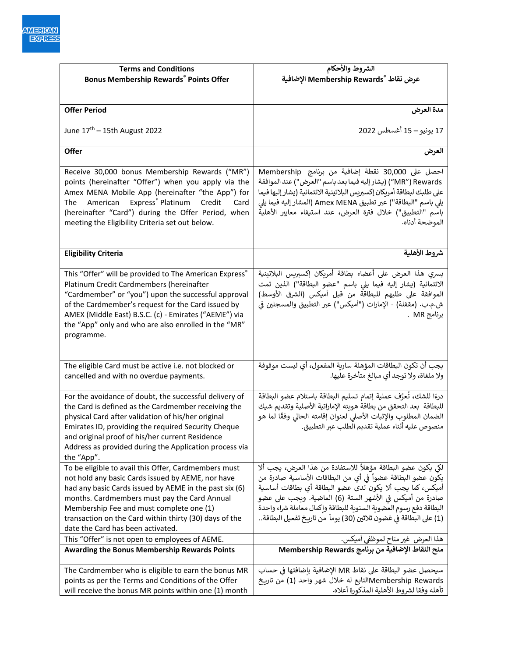| <b>Terms and Conditions</b>                                                                                                                                                                                                                                                                                                                                    | الشروط والأحكام                                                                                                                                                                                                                                                                                                                                                                             |
|----------------------------------------------------------------------------------------------------------------------------------------------------------------------------------------------------------------------------------------------------------------------------------------------------------------------------------------------------------------|---------------------------------------------------------------------------------------------------------------------------------------------------------------------------------------------------------------------------------------------------------------------------------------------------------------------------------------------------------------------------------------------|
| <b>Bonus Membership Rewards® Points Offer</b>                                                                                                                                                                                                                                                                                                                  | عرض نقاط ®Membership Rewards الإضافية                                                                                                                                                                                                                                                                                                                                                       |
|                                                                                                                                                                                                                                                                                                                                                                |                                                                                                                                                                                                                                                                                                                                                                                             |
| <b>Offer Period</b>                                                                                                                                                                                                                                                                                                                                            | مدة العرض                                                                                                                                                                                                                                                                                                                                                                                   |
| June $17th - 15th$ August 2022                                                                                                                                                                                                                                                                                                                                 | 17 يونيو – 15 أغسطس 2022                                                                                                                                                                                                                                                                                                                                                                    |
| Offer                                                                                                                                                                                                                                                                                                                                                          | العرض                                                                                                                                                                                                                                                                                                                                                                                       |
| Receive 30,000 bonus Membership Rewards ("MR")<br>points (hereinafter "Offer") when you apply via the<br>Amex MENA Mobile App (hereinafter "the App") for<br>American Express <sup>®</sup> Platinum Credit<br>The<br>Card<br>(hereinafter "Card") during the Offer Period, when<br>meeting the Eligibility Criteria set out below.                             | احصل على 30,000 نقطة إضافية من برنامج Membership<br>MR") Rewards") (يشار إليه فيما بعد باسم "العرض") عند الموافقة<br>على طلبك لبطاقة أمريكان إكسبريس البلاتينية الائتمانية (يشار إليها فيما<br>يلي باسم "البطاقة") عبر تطبيق Amex MENA (المشار إليه فيما يلي<br>باسم "التطبيق") خلال فترة العرض، عند استيفاء معايير الأهلية<br>الموضحة أدناه.                                               |
| <b>Eligibility Criteria</b>                                                                                                                                                                                                                                                                                                                                    | شروط الأهلية                                                                                                                                                                                                                                                                                                                                                                                |
| This "Offer" will be provided to The American Express®<br>Platinum Credit Cardmembers (hereinafter<br>"Cardmember" or "you") upon the successful approval<br>of the Cardmember's request for the Card issued by<br>AMEX (Middle East) B.S.C. (c) - Emirates ("AEME") via<br>the "App" only and who are also enrolled in the "MR"<br>programme.                 | يسري هذا العرض على أعضاء بطاقة أمريكان إكسبريس البلاتينية<br>الائتمانية (يشار إليه فيما يلى باسم "عضو البطاقة") الذين تمت<br>الموافقة على طلبهم للبطاقة من قبل أميكس (الشرق الأوسط)<br>ش.م.ب. (مقفلة) - الإمارات ("أميكس") عبر التطبيق والمسجلين في<br>برنامج MR .                                                                                                                          |
| The eligible Card must be active i.e. not blocked or<br>cancelled and with no overdue payments.                                                                                                                                                                                                                                                                | يجب أن تكون البطاقات المؤهلة ساربة المفعول، أي ليست موقوفة<br>ولا ملغاة، ولا توجد أي مبالغ متأخرة عليها.                                                                                                                                                                                                                                                                                    |
| For the avoidance of doubt, the successful delivery of<br>the Card is defined as the Cardmember receiving the<br>physical Card after validation of his/her original<br>Emirates ID, providing the required Security Cheque<br>and original proof of his/her current Residence<br>Address as provided during the Application process via<br>the "App".          | درءًا للشك، تُعرَّف عملية إتمام تسليم البطاقة باستلام عضو البطاقة<br>للبطاقة بعد التحقق من بطاقة هويته الإماراتية الأصلية وتقديم شيك<br>الضمان المطلوب والإثبات الأصلى لعنوان إقامته الحالى وفقًا لما هو<br>منصوص عليه أثناء عملية تقديم الطلب عبر التطبيق.                                                                                                                                 |
| To be eligible to avail this Offer, Cardmembers must<br>not hold any basic Cards issued by AEME, nor have<br>had any basic Cards issued by AEME in the past six (6)<br>months. Cardmembers must pay the Card Annual<br>Membership Fee and must complete one (1)<br>transaction on the Card within thirty (30) days of the<br>date the Card has been activated. | لكي يكون عضو البطاقة مؤهلاً للاستفادة من هذا العرض، يجب ألا<br>يكُون عضو البطاقة عضواً في أي من البطاقات الأساسية صادرة من<br>أميكس، كما يجب ألا يكون لدى عضو البطاقة أي بطاقات أساسية<br>صادرة من أميكس في الأشهر الستة (6) الماضية. ويجب على عضو<br>البطاقة دفع رسوم العضوية السنوية للبطاقة وإكمال معاملة شراء واحدة<br>(1) على البطاقة في غضون ثلاثين (30) يوماً من تاريخ تفعيل البطاقة |
| This "Offer" is not open to employees of AEME.                                                                                                                                                                                                                                                                                                                 | هذا العرض غير متاح لموظفي أميكس.                                                                                                                                                                                                                                                                                                                                                            |
| <b>Awarding the Bonus Membership Rewards Points</b>                                                                                                                                                                                                                                                                                                            | منح النقاط الإضافية من برنامج Membership Rewards                                                                                                                                                                                                                                                                                                                                            |
| The Cardmember who is eligible to earn the bonus MR<br>points as per the Terms and Conditions of the Offer<br>will receive the bonus MR points within one (1) month                                                                                                                                                                                            | سيحصل عضو البطاقة على نقاط MR الإضافية بإضافتها في حساب<br>Membership Rewardsالتابع له خلال شهر واحد (1) من تاريخ<br>تأهله وفقا لشروط الأهلية المذكورة أعلاه.                                                                                                                                                                                                                               |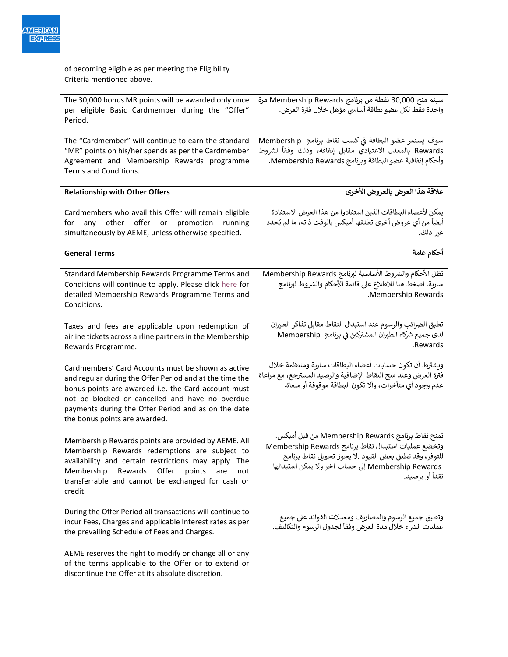| of becoming eligible as per meeting the Eligibility<br>Criteria mentioned above.                                                                                                                                                                                                                                |                                                                                                                                                                                                                                             |
|-----------------------------------------------------------------------------------------------------------------------------------------------------------------------------------------------------------------------------------------------------------------------------------------------------------------|---------------------------------------------------------------------------------------------------------------------------------------------------------------------------------------------------------------------------------------------|
| The 30,000 bonus MR points will be awarded only once<br>per eligible Basic Cardmember during the "Offer"<br>Period.                                                                                                                                                                                             | سيتم منح 30,000 نقطة من برنامج Membership Rewards مرة<br>واحدة فقط لكل عضو بطاقة أساسي مؤهل خلال فترة العرض.                                                                                                                                |
| The "Cardmember" will continue to earn the standard<br>"MR" points on his/her spends as per the Cardmember<br>Agreement and Membership Rewards programme<br>Terms and Conditions.                                                                                                                               | سوف يستمر عضو البطاقة في كسب نقاط برنامج Membership<br>Rewards بالمعدل الاعتيادي مقابل إنفاقه، وذلك وفقاً لشروط<br>وأحكام إتفاقية عضو البطاقة وبرنامج Membership Rewards.                                                                   |
| <b>Relationship with Other Offers</b>                                                                                                                                                                                                                                                                           | علاقة هذا العرض بالعروض الأخرى                                                                                                                                                                                                              |
| Cardmembers who avail this Offer will remain eligible<br>offer<br>other<br>or promotion<br>running<br>for<br>any<br>simultaneously by AEME, unless otherwise specified.                                                                                                                                         | يمكن لأعضاء البطاقات الذين استفادوا من هذا العرض الاستفادة<br>أيضاً من أي عروض أخرى تطلقها أميكس بالوقت ذاته، ما لم يُحدد<br>غير ذلك.                                                                                                       |
| <b>General Terms</b>                                                                                                                                                                                                                                                                                            | أحكام عامة                                                                                                                                                                                                                                  |
| Standard Membership Rewards Programme Terms and<br>Conditions will continue to apply. Please click here for<br>detailed Membership Rewards Programme Terms and<br>Conditions.                                                                                                                                   | تظل الأحكام والشروط الأساسية لبرنامج Membership Rewards<br>سارية. اضغط <u>هنا</u> للاطلاع على قائمة الأحكام والشروط لبرنامج<br>.Membership Rewards                                                                                          |
| Taxes and fees are applicable upon redemption of<br>airline tickets across airline partners in the Membership<br>Rewards Programme.                                                                                                                                                                             | تطبق الضرائب والرسوم عند استبدال النقاط مقابل تذاكر الطيران<br>لدى جميع شركاء الطيران المشتركين في برنامج  Membership<br>.Rewards                                                                                                           |
| Cardmembers' Card Accounts must be shown as active<br>and regular during the Offer Period and at the time the<br>bonus points are awarded i.e. the Card account must<br>not be blocked or cancelled and have no overdue<br>payments during the Offer Period and as on the date<br>the bonus points are awarded. | ويشترط أن تكون حسابات أعضاء البطاقات سارية ومنتظمة خلال<br>فترة العرض وعند منح النقاط الإضافية والرصيد المسترجع، مع مراعاة<br>عدم وجود أي متأخرات، وألا تكون البطاقة موقوفة أو ملغاة.                                                       |
| Membership Rewards points are provided by AEME. All<br>Membership Rewards redemptions are subject to<br>availability and certain restrictions may apply. The<br>Membership<br>Rewards<br>Offer<br>points<br>are<br>not<br>transferrable and cannot be exchanged for cash or<br>credit.                          | تمنح نقاط برنامج Membership Rewards من قبل أميكس.<br>وتخضع عمليات استبدال نقاط برنامج Membership Rewards<br>للتوفر، وقد تطبق بعض القيود .لا يجوز تحويل نقاط برنامج<br>Membership Rewards إلى حساب آخر ولا يمكن استبدالها<br>نقداً أو برصيد. |
| During the Offer Period all transactions will continue to<br>incur Fees, Charges and applicable Interest rates as per<br>the prevailing Schedule of Fees and Charges.                                                                                                                                           | وتطبق جميع الرسوم والمصاريف ومعدلات الفوائد على جميع<br>عمليات الشراء خلال مدة العرض وفقاً لجدول الرسوم والتكاليف.                                                                                                                          |
| AEME reserves the right to modify or change all or any<br>of the terms applicable to the Offer or to extend or<br>discontinue the Offer at its absolute discretion.                                                                                                                                             |                                                                                                                                                                                                                                             |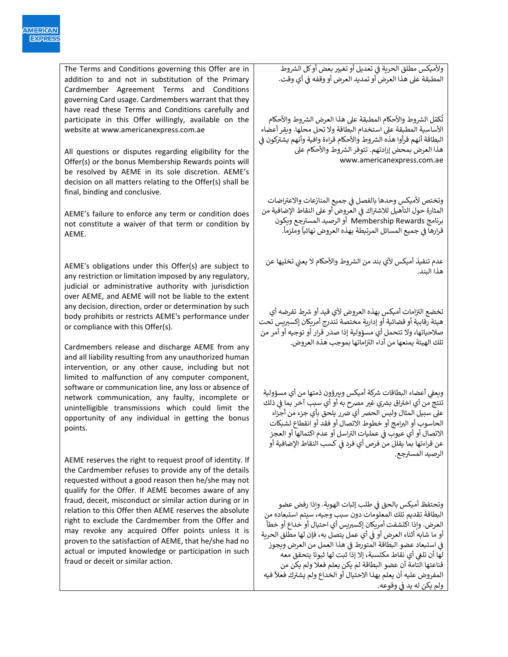The Terms and Conditions governing this Offer are in addition to and not in substitution of the Primary Cardmember Agreement Terms and Conditions governing Card usage. Cardmembers warrant that they have read these Terms and Conditions carefully and participate in this Offer willingly, available on the website at www.americanexpress.com.ae

All questions or disputes regarding eligibility for the Offer(s) or the bonus Membership Rewards points will be resolved by AEME in its sole discretion. AEME's decision on all matters relating to the Offer(s) shall be final, binding and conclusive.

AEME's failure to enforce any term or condition does not constitute a waiver of that term or condition by AEME.

AEME's obligations under this Offer(s) are subject to any restriction or limitation imposed by any regulatory, judicial or administrative authority with jurisdiction over AEME, and AEME will not be liable to the extent any decision, direction, order or determination by such body prohibits or restricts AEME's performance under or compliance with this Offer(s).

Cardmembers release and discharge AEME from any and all liability resulting from any unauthorized human intervention, or any other cause, including but not limited to malfunction of any computer component, software or communication line, any loss or absence of network communication, any faulty, incomplete or unintelligible transmissions which could limit the opportunity of any individual in getting the bonus points.

AEME reserves the right to request proof of identity. If the Cardmember refuses to provide any of the details requested without a good reason then he/she may not qualify for the Offer. If AEME becomes aware of any fraud, deceit, misconduct or similar action during or in relation to this Offer then AEME reserves the absolute right to exclude the Cardmember from the Offer and may revoke any acquired Offer points unless it is proven to the satisfaction of AEME, that he/she had no actual or imputed knowledge or participation in such fraud or deceit or similar action.

ولأميكس مطلق الحرية في تعديل أو تغيير بعض أو كل الشروط ي ن المطبقة على هذا العرض أو تمديد العرض أو وقفه في أي وقت. ي ن

.<br>تُكمّل الشروط والأحكام المطبقة على هذا العرض الشروط والأحكام ُ األساسية المطبقة عىل استخدام البطاقة وال تحل محلها. ويقر أعضاء ي ن البطاقة أنهم قرأوا هذه الشروط والأحكام قراءة وافية وأنهم يشتركون في هذا العرض بمحض إرادتهم. تتوفر الشروط والأحكام على www.americanexpress.com.ae

وتختص لأميكس وحدها بالفصل في جميع المنازعات والاعتراضات ن ر<br>المثارة حول التأهيل للاشتراك في العروض أو على النقاط الإضافية من ي ن برنامج Membership Rewards أو الرصيد المسترجع ويكون برتس المسامح المسائل المرتبطة المسار المرتبطة المساريح ويام<br>قرارها في جميع المسائل المرتبطة بهذه العروض نهائياً وملزماً. ن

عدم تنفيذ أميكس لأي بند من الشروط والأحكام لا يعنى تخليها عن ي هذا البند.

تخضع التزامات أميكس بهذه العروض لأي قيد أو شرط تفرضه أي هيئة رقابية أو قضائية أو إدارية مختصة تندرج أمريكان إكسربيس تحت صالحياتها، وال تتحمل أي مسؤولية إذا صدر قرار أو توجيه أو أمر من ر نتلك الهيئة يمنعها من أداء التزاماتها بموجب هذه العروض.

ي ن وبعفي أعضاء البطاقات شركة أميكس وببرؤون ذمتها من أي مسؤولية ررس أي اخب <sup>ي</sup> <sup>ر</sup> تنتج من اق ب غرب مضح به أو أي سبب آخر بما <sup>ف</sup> ذلك <sup>ن</sup> ي على سبيل المثال وليس الحصر أي ضرر يلحق بأي جزء من أجزاء الحاسوب أو الربامج أو خطوط االتصال أو فقد أو انقطاع لشبكات االتصال أو أي عيوب ف اسل ر عمليات الب أو عدم اكتمالها أو العجز ي ن عن قراءتها بما يقلل من فرص أي فرد في كسب النقاط الإضافية أو ن ر بور بور.<br>الرصيد المسترجع

ي وتحتفظ أميكس بالحق ف طلب إثبات الهوية. وإذا رفض عضو ن البطاقة تقديم تلك المعلومات دون سبب وجيه، سيتم استبعاده من العرض. وإذا اكتشفت أمريكان إكسربيس أي احتيال أو خداع أو خطأ أو ما شابه أثناء العرض أو في أي عمل يتصل به، فإن لها مطلق الحرية ي ن ي ن فى استبعاد عضو البطاقة المتورط فى هذا العمل من العرض ويجوز ي ن لها أن تلغ أي نقاط مكتسبة، إال إذا ثبت لها ثبوتا يتحقق معه ي ن قناعتها التامة أن عضو البطاقة لم يكن يعلم فعال ولم يكن من يشب <sup>ر</sup> المفروض عليه أن يعلم بهذا االحتيال أو الخداع ولم <sup>ك</sup> ً فعال فيه ولم يكن له يد في وقوعه.<br>-ن